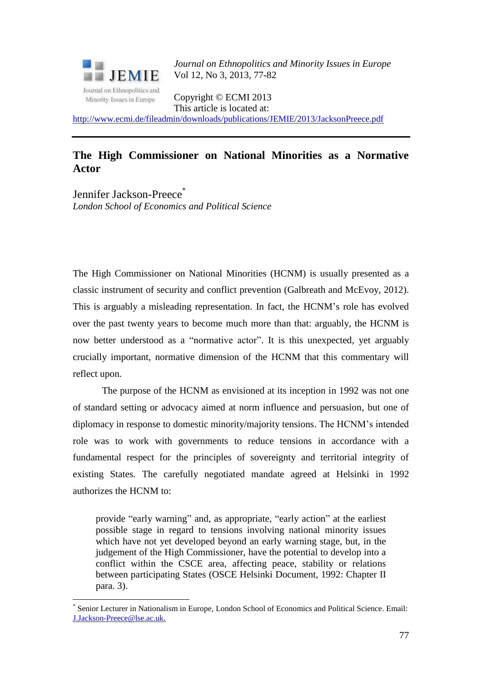

1

*Journal on Ethnopolitics and Minority Issues in Europe* Vol 12, No 3, 2013, 77-82

Copyright © ECMI 2013 This article is located at:

<http://www.ecmi.de/fileadmin/downloads/publications/JEMIE/2013/JacksonPreece.pdf>

## **The High Commissioner on National Minorities as a Normative Actor**

Jennifer Jackson-Preece<sup>\*</sup> *London School of Economics and Political Science*

The High Commissioner on National Minorities (HCNM) is usually presented as a classic instrument of security and conflict prevention (Galbreath and McEvoy, 2012). This is arguably a misleading representation. In fact, the HCNM's role has evolved over the past twenty years to become much more than that: arguably, the HCNM is now better understood as a "normative actor". It is this unexpected, yet arguably crucially important, normative dimension of the HCNM that this commentary will reflect upon.

The purpose of the HCNM as envisioned at its inception in 1992 was not one of standard setting or advocacy aimed at norm influence and persuasion, but one of diplomacy in response to domestic minority/majority tensions. The HCNM's intended role was to work with governments to reduce tensions in accordance with a fundamental respect for the principles of sovereignty and territorial integrity of existing States. The carefully negotiated mandate agreed at Helsinki in 1992 authorizes the HCNM to:

provide "early warning" and, as appropriate, "early action" at the earliest possible stage in regard to tensions involving national minority issues which have not yet developed beyond an early warning stage, but, in the judgement of the High Commissioner, have the potential to develop into a conflict within the CSCE area, affecting peace, stability or relations between participating States (OSCE Helsinki Document, 1992: Chapter II para. 3).

<sup>\*</sup> Senior Lecturer in Nationalism in Europe, London School of Economics and Political Science. Email: J.Jackson-Preece@lse.ac.uk.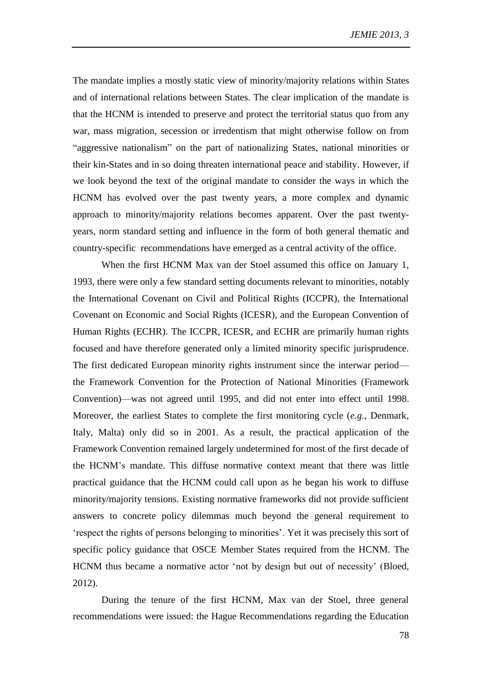The mandate implies a mostly static view of minority/majority relations within States and of international relations between States. The clear implication of the mandate is that the HCNM is intended to preserve and protect the territorial status quo from any war, mass migration, secession or irredentism that might otherwise follow on from "aggressive nationalism" on the part of nationalizing States, national minorities or their kin-States and in so doing threaten international peace and stability. However, if we look beyond the text of the original mandate to consider the ways in which the HCNM has evolved over the past twenty years, a more complex and dynamic approach to minority/majority relations becomes apparent. Over the past twentyyears, norm standard setting and influence in the form of both general thematic and country-specific recommendations have emerged as a central activity of the office.

When the first HCNM Max van der Stoel assumed this office on January 1, 1993, there were only a few standard setting documents relevant to minorities, notably the International Covenant on Civil and Political Rights (ICCPR), the International Covenant on Economic and Social Rights (ICESR), and the European Convention of Human Rights (ECHR). The ICCPR, ICESR, and ECHR are primarily human rights focused and have therefore generated only a limited minority specific jurisprudence. The first dedicated European minority rights instrument since the interwar period the Framework Convention for the Protection of National Minorities (Framework Convention)—was not agreed until 1995, and did not enter into effect until 1998. Moreover, the earliest States to complete the first monitoring cycle (*e.g.*, Denmark, Italy, Malta) only did so in 2001. As a result, the practical application of the Framework Convention remained largely undetermined for most of the first decade of the HCNM's mandate. This diffuse normative context meant that there was little practical guidance that the HCNM could call upon as he began his work to diffuse minority/majority tensions. Existing normative frameworks did not provide sufficient answers to concrete policy dilemmas much beyond the general requirement to 'respect the rights of persons belonging to minorities'. Yet it was precisely this sort of specific policy guidance that OSCE Member States required from the HCNM. The HCNM thus became a normative actor 'not by design but out of necessity' (Bloed, 2012).

During the tenure of the first HCNM, Max van der Stoel, three general recommendations were issued: the Hague Recommendations regarding the Education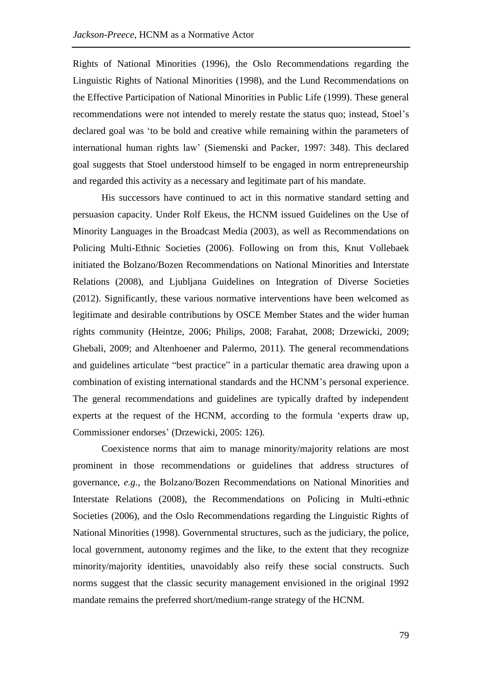Rights of National Minorities (1996), the Oslo Recommendations regarding the Linguistic Rights of National Minorities (1998), and the Lund Recommendations on the Effective Participation of National Minorities in Public Life (1999). These general recommendations were not intended to merely restate the status quo; instead, Stoel's declared goal was 'to be bold and creative while remaining within the parameters of international human rights law' (Siemenski and Packer, 1997: 348). This declared goal suggests that Stoel understood himself to be engaged in norm entrepreneurship and regarded this activity as a necessary and legitimate part of his mandate.

His successors have continued to act in this normative standard setting and persuasion capacity. Under Rolf Ekeus, the HCNM issued Guidelines on the Use of Minority Languages in the Broadcast Media (2003), as well as Recommendations on Policing Multi-Ethnic Societies (2006). Following on from this, Knut Vollebaek initiated the Bolzano/Bozen Recommendations on National Minorities and Interstate Relations (2008), and Ljubljana Guidelines on Integration of Diverse Societies (2012). Significantly, these various normative interventions have been welcomed as legitimate and desirable contributions by OSCE Member States and the wider human rights community (Heintze, 2006; Philips, 2008; Farahat, 2008; Drzewicki, 2009; Ghebali, 2009; and Altenhoener and Palermo, 2011). The general recommendations and guidelines articulate "best practice" in a particular thematic area drawing upon a combination of existing international standards and the HCNM's personal experience. The general recommendations and guidelines are typically drafted by independent experts at the request of the HCNM, according to the formula 'experts draw up, Commissioner endorses' (Drzewicki, 2005: 126).

Coexistence norms that aim to manage minority/majority relations are most prominent in those recommendations or guidelines that address structures of governance, *e.g.*, the Bolzano/Bozen Recommendations on National Minorities and Interstate Relations (2008), the Recommendations on Policing in Multi-ethnic Societies (2006), and the Oslo Recommendations regarding the Linguistic Rights of National Minorities (1998). Governmental structures, such as the judiciary, the police, local government, autonomy regimes and the like, to the extent that they recognize minority/majority identities, unavoidably also reify these social constructs. Such norms suggest that the classic security management envisioned in the original 1992 mandate remains the preferred short/medium-range strategy of the HCNM.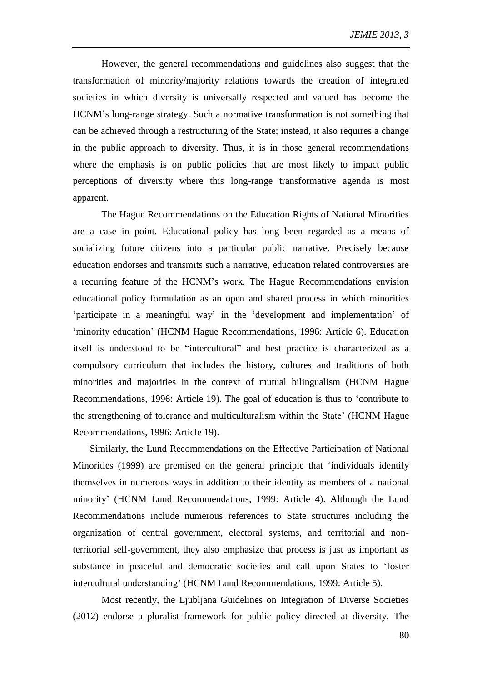However, the general recommendations and guidelines also suggest that the transformation of minority/majority relations towards the creation of integrated societies in which diversity is universally respected and valued has become the HCNM's long-range strategy. Such a normative transformation is not something that can be achieved through a restructuring of the State; instead, it also requires a change in the public approach to diversity. Thus, it is in those general recommendations where the emphasis is on public policies that are most likely to impact public perceptions of diversity where this long-range transformative agenda is most apparent.

The Hague Recommendations on the Education Rights of National Minorities are a case in point. Educational policy has long been regarded as a means of socializing future citizens into a particular public narrative. Precisely because education endorses and transmits such a narrative, education related controversies are a recurring feature of the HCNM's work. The Hague Recommendations envision educational policy formulation as an open and shared process in which minorities 'participate in a meaningful way' in the 'development and implementation' of 'minority education' (HCNM Hague Recommendations, 1996: Article 6). Education itself is understood to be "intercultural" and best practice is characterized as a compulsory curriculum that includes the history, cultures and traditions of both minorities and majorities in the context of mutual bilingualism (HCNM Hague Recommendations, 1996: Article 19). The goal of education is thus to 'contribute to the strengthening of tolerance and multiculturalism within the State' (HCNM Hague Recommendations, 1996: Article 19).

Similarly, the Lund Recommendations on the Effective Participation of National Minorities (1999) are premised on the general principle that 'individuals identify themselves in numerous ways in addition to their identity as members of a national minority' (HCNM Lund Recommendations, 1999: Article 4). Although the Lund Recommendations include numerous references to State structures including the organization of central government, electoral systems, and territorial and nonterritorial self-government, they also emphasize that process is just as important as substance in peaceful and democratic societies and call upon States to 'foster intercultural understanding' (HCNM Lund Recommendations, 1999: Article 5).

Most recently, the Ljubljana Guidelines on Integration of Diverse Societies (2012) endorse a pluralist framework for public policy directed at diversity. The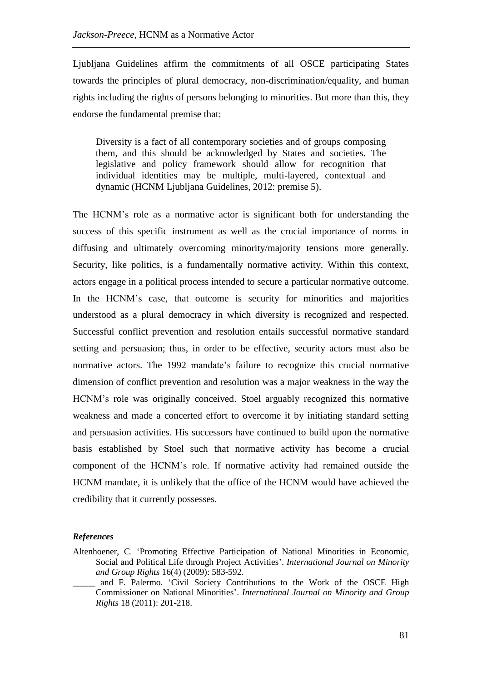Ljubljana Guidelines affirm the commitments of all OSCE participating States towards the principles of plural democracy, non-discrimination/equality, and human rights including the rights of persons belonging to minorities. But more than this, they endorse the fundamental premise that:

Diversity is a fact of all contemporary societies and of groups composing them, and this should be acknowledged by States and societies. The legislative and policy framework should allow for recognition that individual identities may be multiple, multi-layered, contextual and dynamic (HCNM Ljubljana Guidelines, 2012: premise 5).

The HCNM's role as a normative actor is significant both for understanding the success of this specific instrument as well as the crucial importance of norms in diffusing and ultimately overcoming minority/majority tensions more generally. Security, like politics, is a fundamentally normative activity. Within this context, actors engage in a political process intended to secure a particular normative outcome. In the HCNM's case, that outcome is security for minorities and majorities understood as a plural democracy in which diversity is recognized and respected. Successful conflict prevention and resolution entails successful normative standard setting and persuasion; thus, in order to be effective, security actors must also be normative actors. The 1992 mandate's failure to recognize this crucial normative dimension of conflict prevention and resolution was a major weakness in the way the HCNM's role was originally conceived. Stoel arguably recognized this normative weakness and made a concerted effort to overcome it by initiating standard setting and persuasion activities. His successors have continued to build upon the normative basis established by Stoel such that normative activity has become a crucial component of the HCNM's role. If normative activity had remained outside the HCNM mandate, it is unlikely that the office of the HCNM would have achieved the credibility that it currently possesses.

## *References*

Altenhoener, C. 'Promoting Effective Participation of National Minorities in Economic, Social and Political Life through Project Activities'. *International Journal on Minority and Group Rights* 16(4) (2009): 583-592.

and F. Palermo. 'Civil Society Contributions to the Work of the OSCE High Commissioner on National Minorities'. *International Journal on Minority and Group Rights* 18 (2011): 201-218.